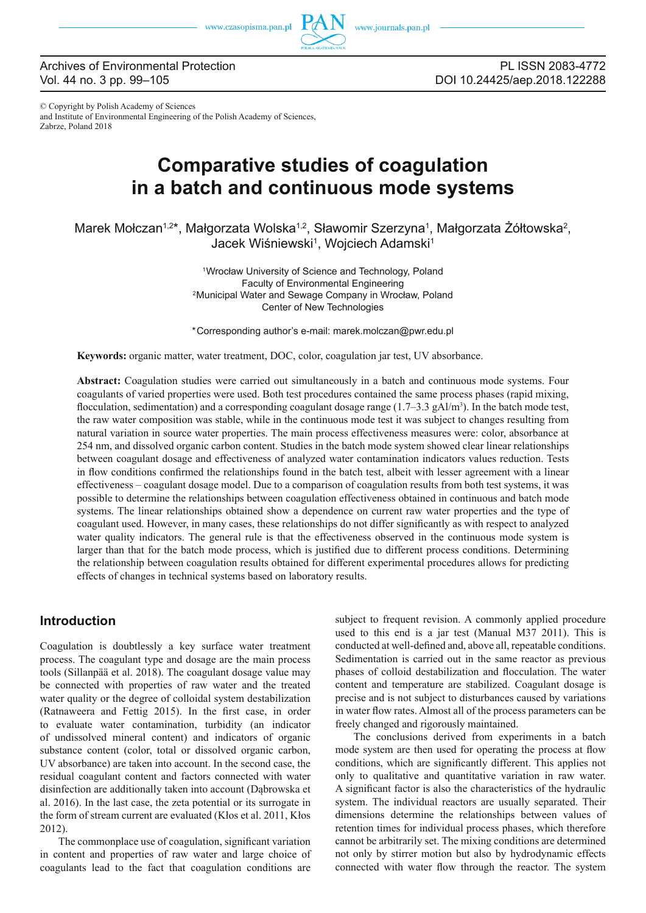

### Archives of Environmental Protection Vol. 44 no. 3 pp. 99–105

PL ISSN 2083-4772 DOI 10.24425/aep.2018.122288

© Copyright by Polish Academy of Sciences and Institute of Environmental Engineering of the Polish Academy of Sciences, Zabrze, Poland 2018

# **Comparative studies of coagulation in a batch and continuous mode systems**

Marek Mołczan<sup>1,2\*</sup>, Małgorzata Wolska<sup>1,2</sup>, Sławomir Szerzyna<sup>1</sup>, Małgorzata Żółtowska<sup>2</sup>, Jacek Wiśniewski<sup>1</sup>, Wojciech Adamski<sup>1</sup>

> 1Wrocław University of Science and Technology, Poland Faculty of Environmental Engineering 2Municipal Water and Sewage Company in Wrocław, Poland Center of New Technologies

> \*Corresponding author's e-mail: marek.molczan@pwr.edu.pl

**Keywords:** organic matter, water treatment, DOC, color, coagulation jar test, UV absorbance.

**Abstract:** Coagulation studies were carried out simultaneously in a batch and continuous mode systems. Four coagulants of varied properties were used. Both test procedures contained the same process phases (rapid mixing, flocculation, sedimentation) and a corresponding coagulant dosage range  $(1.7-3.3 \text{ gAl/m}^3)$ . In the batch mode test, the raw water composition was stable, while in the continuous mode test it was subject to changes resulting from natural variation in source water properties. The main process effectiveness measures were: color, absorbance at 254 nm, and dissolved organic carbon content. Studies in the batch mode system showed clear linear relationships between coagulant dosage and effectiveness of analyzed water contamination indicators values reduction. Tests in flow conditions confirmed the relationships found in the batch test, albeit with lesser agreement with a linear effectiveness – coagulant dosage model. Due to a comparison of coagulation results from both test systems, it was possible to determine the relationships between coagulation effectiveness obtained in continuous and batch mode systems. The linear relationships obtained show a dependence on current raw water properties and the type of coagulant used. However, in many cases, these relationships do not differ significantly as with respect to analyzed water quality indicators. The general rule is that the effectiveness observed in the continuous mode system is larger than that for the batch mode process, which is justified due to different process conditions. Determining the relationship between coagulation results obtained for different experimental procedures allows for predicting effects of changes in technical systems based on laboratory results.

### **Introduction**

Coagulation is doubtlessly a key surface water treatment process. The coagulant type and dosage are the main process tools (Sillanpää et al. 2018). The coagulant dosage value may be connected with properties of raw water and the treated water quality or the degree of colloidal system destabilization (Ratnaweera and Fettig  $2015$ ). In the first case, in order to evaluate water contamination, turbidity (an indicator of undissolved mineral content) and indicators of organic substance content (color, total or dissolved organic carbon, UV absorbance) are taken into account. In the second case, the residual coagulant content and factors connected with water disinfection are additionally taken into account (Dąbrowska et al. 2016). In the last case, the zeta potential or its surrogate in the form of stream current are evaluated (Kłos et al. 2011, Kłos 2012).

The commonplace use of coagulation, significant variation in content and properties of raw water and large choice of coagulants lead to the fact that coagulation conditions are

subject to frequent revision. A commonly applied procedure used to this end is a jar test (Manual M37 2011). This is conducted at well-defined and, above all, repeatable conditions. Sedimentation is carried out in the same reactor as previous phases of colloid destabilization and flocculation. The water content and temperature are stabilized. Coagulant dosage is precise and is not subject to disturbances caused by variations in water flow rates. Almost all of the process parameters can be freely changed and rigorously maintained.

The conclusions derived from experiments in a batch mode system are then used for operating the process at flow conditions, which are significantly different. This applies not only to qualitative and quantitative variation in raw water. A significant factor is also the characteristics of the hydraulic system. The individual reactors are usually separated. Their dimensions determine the relationships between values of retention times for individual process phases, which therefore cannot be arbitrarily set. The mixing conditions are determined not only by stirrer motion but also by hydrodynamic effects connected with water flow through the reactor. The system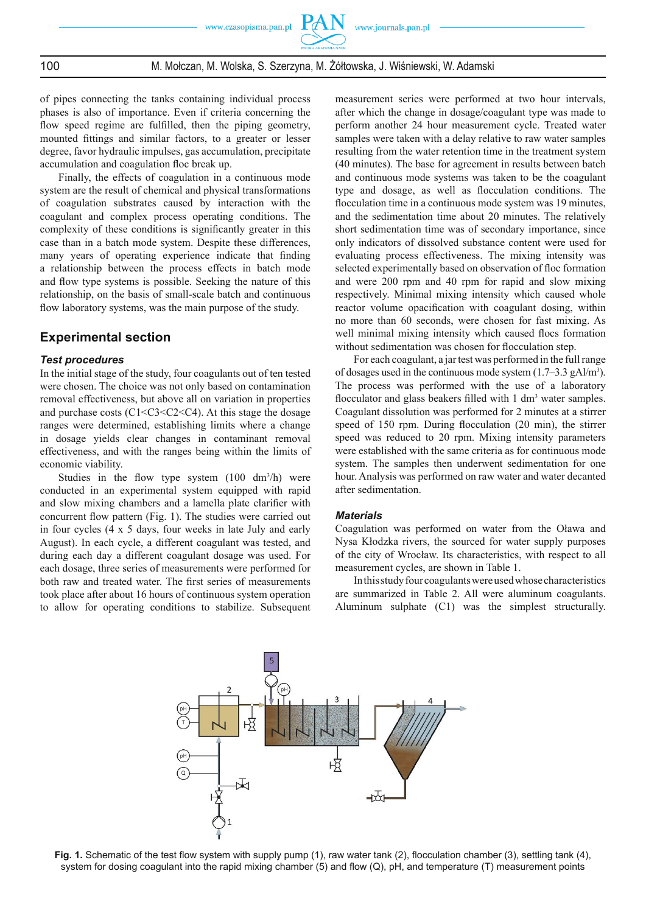## 100 M. Mołczan, M. Wolska, S. Szerzyna, M. Żółtowska, J. Wiśniewski, W. Adamski

of pipes connecting the tanks containing individual process phases is also of importance. Even if criteria concerning the flow speed regime are fulfilled, then the piping geometry, mounted fittings and similar factors, to a greater or lesser degree, favor hydraulic impulses, gas accumulation, precipitate accumulation and coagulation floc break up.

Finally, the effects of coagulation in a continuous mode system are the result of chemical and physical transformations of coagulation substrates caused by interaction with the coagulant and complex process operating conditions. The complexity of these conditions is significantly greater in this case than in a batch mode system. Despite these differences, many years of operating experience indicate that finding a relationship between the process effects in batch mode and flow type systems is possible. Seeking the nature of this relationship, on the basis of small-scale batch and continuous flow laboratory systems, was the main purpose of the study.

### **Experimental section**

#### *Test procedures*

In the initial stage of the study, four coagulants out of ten tested were chosen. The choice was not only based on contamination removal effectiveness, but above all on variation in properties and purchase costs  $(C1 < C3 < C2 < C4)$ . At this stage the dosage ranges were determined, establishing limits where a change in dosage yields clear changes in contaminant removal effectiveness, and with the ranges being within the limits of economic viability.

Studies in the flow type system  $(100 \text{ dm}^3/\text{h})$  were conducted in an experimental system equipped with rapid and slow mixing chambers and a lamella plate clarifier with concurrent flow pattern (Fig. 1). The studies were carried out in four cycles (4 x 5 days, four weeks in late July and early August). In each cycle, a different coagulant was tested, and during each day a different coagulant dosage was used. For each dosage, three series of measurements were performed for both raw and treated water. The first series of measurements took place after about 16 hours of continuous system operation to allow for operating conditions to stabilize. Subsequent measurement series were performed at two hour intervals, after which the change in dosage/coagulant type was made to perform another 24 hour measurement cycle. Treated water samples were taken with a delay relative to raw water samples resulting from the water retention time in the treatment system (40 minutes). The base for agreement in results between batch and continuous mode systems was taken to be the coagulant type and dosage, as well as flocculation conditions. The flocculation time in a continuous mode system was 19 minutes, and the sedimentation time about 20 minutes. The relatively short sedimentation time was of secondary importance, since only indicators of dissolved substance content were used for evaluating process effectiveness. The mixing intensity was selected experimentally based on observation of floc formation and were 200 rpm and 40 rpm for rapid and slow mixing respectively. Minimal mixing intensity which caused whole reactor volume opacification with coagulant dosing, within no more than 60 seconds, were chosen for fast mixing. As well minimal mixing intensity which caused flocs formation without sedimentation was chosen for flocculation step.

For each coagulant, a jar test was performed in the full range of dosages used in the continuous mode system (1.7–3.3 gAl/m<sup>3</sup>). The process was performed with the use of a laboratory flocculator and glass beakers filled with  $1 \text{ dm}^3$  water samples. Coagulant dissolution was performed for 2 minutes at a stirrer speed of 150 rpm. During flocculation (20 min), the stirrer speed was reduced to 20 rpm. Mixing intensity parameters were established with the same criteria as for continuous mode system. The samples then underwent sedimentation for one hour. Analysis was performed on raw water and water decanted after sedimentation.

### *Materials*

Coagulation was performed on water from the Oława and Nysa Kłodzka rivers, the sourced for water supply purposes of the city of Wrocław. Its characteristics, with respect to all measurement cycles, are shown in Table 1.

In this study four coagulants were used whose characteristics are summarized in Table 2. All were aluminum coagulants. Aluminum sulphate (C1) was the simplest structurally.



Fig. 1. Schematic of the test flow system with supply pump (1), raw water tank (2), flocculation chamber (3), settling tank (4), system for dosing coagulant into the rapid mixing chamber (5) and flow (Q), pH, and temperature (T) measurement points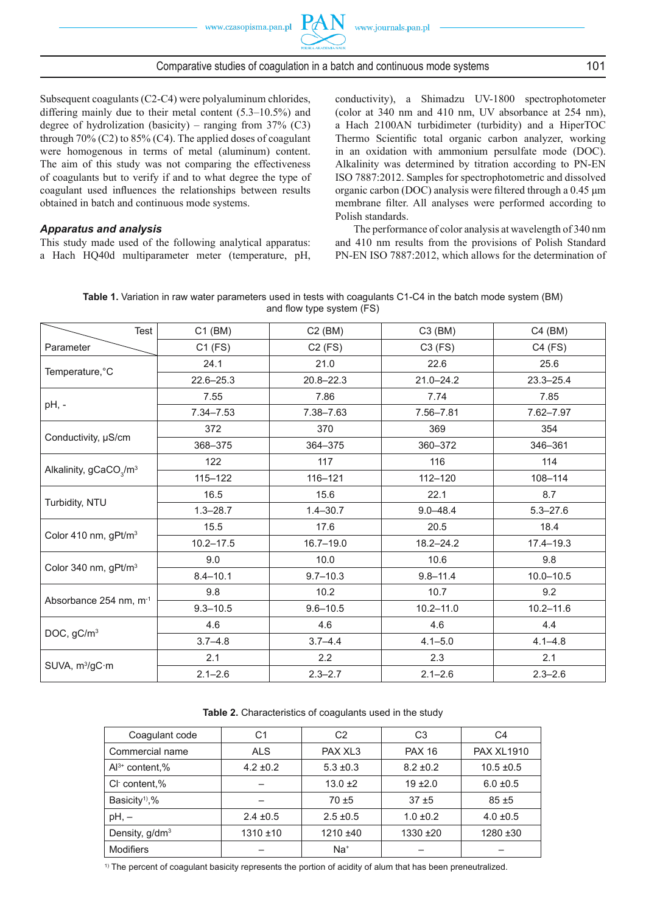

### Comparative studies of coagulation in a batch and continuous mode systems 101

Subsequent coagulants (C2-C4) were polyaluminum chlorides, differing mainly due to their metal content (5.3–10.5%) and degree of hydrolization (basicity) – ranging from  $37\%$  (C3) through  $70\%$  (C2) to  $85\%$  (C4). The applied doses of coagulant were homogenous in terms of metal (aluminum) content. The aim of this study was not comparing the effectiveness of coagulants but to verify if and to what degree the type of coagulant used influences the relationships between results obtained in batch and continuous mode systems.

#### *Apparatus and analysis*

This study made used of the following analytical apparatus: a Hach HQ40d multiparameter meter (temperature, pH, conductivity), a Shimadzu UV-1800 spectrophotometer (color at 340 nm and 410 nm, UV absorbance at 254 nm), a Hach 2100AN turbidimeter (turbidity) and a HiperTOC Thermo Scientific total organic carbon analyzer, working in an oxidation with ammonium persulfate mode (DOC). Alkalinity was determined by titration according to PN-EN ISO 7887:2012. Samples for spectrophotometric and dissolved organic carbon (DOC) analysis were fi ltered through a 0.45 μm membrane filter. All analyses were performed according to Polish standards.

The performance of color analysis at wavelength of 340 nm and 410 nm results from the provisions of Polish Standard PN-EN ISO 7887:2012, which allows for the determination of

|  | Table 1. Variation in raw water parameters used in tests with coagulants C1-C4 in the batch mode system (BM) |  |                           |  |  |  |
|--|--------------------------------------------------------------------------------------------------------------|--|---------------------------|--|--|--|
|  |                                                                                                              |  | and flow type system (FS) |  |  |  |

| Test                                           | $C1$ (BM)     | $C2$ (BM)     | $C3$ (BM)     | C4 (BM)       |  |
|------------------------------------------------|---------------|---------------|---------------|---------------|--|
| Parameter                                      | $C1$ (FS)     | $C2$ (FS)     | $C3$ (FS)     | $C4$ (FS)     |  |
|                                                | 24.1          | 21.0          | 22.6          | 25.6          |  |
| Temperature, °C                                | $22.6 - 25.3$ | $20.8 - 22.3$ | $21.0 - 24.2$ | $23.3 - 25.4$ |  |
|                                                | 7.55          | 7.86          | 7.74          | 7.85          |  |
| pH, -                                          | $7.34 - 7.53$ | 7.38-7.63     | 7.56-7.81     | 7.62-7.97     |  |
|                                                | 372           | 370           | 369           | 354           |  |
| Conductivity, µS/cm                            | 368-375       | 364-375       | 360-372       | 346-361       |  |
|                                                | 122           | 117           | 116           | 114           |  |
| Alkalinity, gCaCO <sub>3</sub> /m <sup>3</sup> | $115 - 122$   | 116-121       | $112 - 120$   |               |  |
|                                                | 16.5          | 15.6          | 22.1          | 8.7           |  |
| Turbidity, NTU                                 | $1.3 - 28.7$  | $1.4 - 30.7$  | $9.0 - 48.4$  | $5.3 - 27.6$  |  |
| Color 410 nm, gPt/m <sup>3</sup>               | 15.5          | 17.6          | 20.5          | 18.4          |  |
|                                                | $10.2 - 17.5$ | $16.7 - 19.0$ | 18.2-24.2     | $17.4 - 19.3$ |  |
|                                                | 9.0           | 10.0          | 10.6          | 9.8           |  |
| Color 340 nm, gPt/m <sup>3</sup>               | $8.4 - 10.1$  | $9.7 - 10.3$  | $9.8 - 11.4$  | $10.0 - 10.5$ |  |
| Absorbance 254 nm, m <sup>-1</sup>             | 9.8           | 10.2          | 10.7          | 9.2           |  |
|                                                | $9.3 - 10.5$  | $9.6 - 10.5$  | $10.2 - 11.0$ | $10.2 - 11.6$ |  |
|                                                | 4.6           | 4.6           | 4.6           | 4.4           |  |
| DOC, gC/m <sup>3</sup>                         | $3.7 - 4.8$   | $3.7 - 4.4$   | $4.1 - 5.0$   | $4.1 - 4.8$   |  |
|                                                | 2.1           | 2.2           | 2.3           | 2.1           |  |
| SUVA, m <sup>3</sup> /gC·m                     | $2.1 - 2.6$   | $2.3 - 2.7$   | $2.1 - 2.6$   | $2.3 - 2.6$   |  |

#### **Table 2.** Characteristics of coagulants used in the study

| Coagulant code             | С1            | C <sub>2</sub> | C <sub>3</sub> | C4                |  |
|----------------------------|---------------|----------------|----------------|-------------------|--|
| Commercial name            | <b>ALS</b>    | PAX XL3        | <b>PAX 16</b>  | <b>PAX XL1910</b> |  |
| $Al^{3+}$ content,%        | $4.2 \pm 0.2$ | $5.3 \pm 0.3$  | $8.2 \pm 0.2$  | $10.5 \pm 0.5$    |  |
| CI content,%               |               | $13.0 \pm 2$   | $19 + 2.0$     | $6.0 \pm 0.5$     |  |
| Basicity <sup>1</sup> ,%   |               | $70 + 5$       | $37 + 5$       | $85 + 5$          |  |
| $pH, -$                    | $2.4 \pm 0.5$ | $2.5 \pm 0.5$  | $1.0 \pm 0.2$  | $4.0 \pm 0.5$     |  |
| Density, g/dm <sup>3</sup> | $1310 \pm 10$ | $1210 + 40$    | $1330 + 20$    | $1280 + 30$       |  |
| <b>Modifiers</b>           |               | $Na+$          |                |                   |  |

1) The percent of coagulant basicity represents the portion of acidity of alum that has been preneutralized.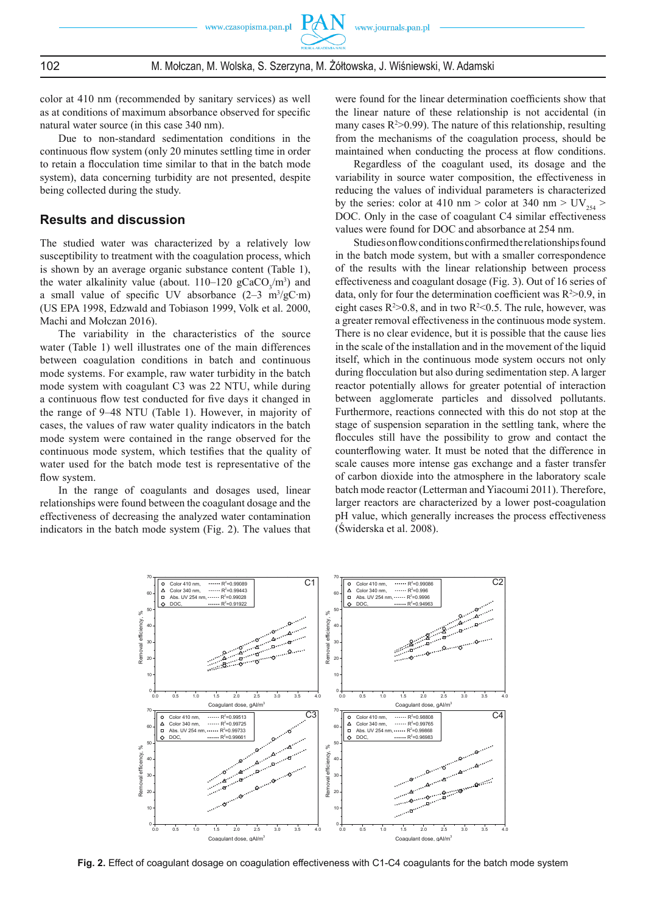102 M. Mołczan, M. Wolska, S. Szerzyna, M. Żółtowska, J. Wiśniewski, W. Adamski

color at 410 nm (recommended by sanitary services) as well as at conditions of maximum absorbance observed for specific natural water source (in this case 340 nm).

Due to non-standard sedimentation conditions in the continuous flow system (only 20 minutes settling time in order to retain a flocculation time similar to that in the batch mode system), data concerning turbidity are not presented, despite being collected during the study.

### **Results and discussion**

The studied water was characterized by a relatively low susceptibility to treatment with the coagulation process, which is shown by an average organic substance content (Table 1), the water alkalinity value (about.  $110-120$  gCaCO<sub>3</sub>/m<sup>3</sup>) and a small value of specific UV absorbance  $(2-3 \text{ m}^3/\text{gC} \cdot \text{m})$ (US EPA 1998, Edzwald and Tobiason 1999, Volk et al. 2000, Machi and Mołczan 2016).

The variability in the characteristics of the source water (Table 1) well illustrates one of the main differences between coagulation conditions in batch and continuous mode systems. For example, raw water turbidity in the batch mode system with coagulant C3 was 22 NTU, while during a continuous flow test conducted for five days it changed in the range of 9–48 NTU (Table 1). However, in majority of cases, the values of raw water quality indicators in the batch mode system were contained in the range observed for the continuous mode system, which testifies that the quality of water used for the batch mode test is representative of the flow system.

In the range of coagulants and dosages used, linear relationships were found between the coagulant dosage and the effectiveness of decreasing the analyzed water contamination indicators in the batch mode system (Fig. 2). The values that were found for the linear determination coefficients show that the linear nature of these relationship is not accidental (in many cases  $R^2 > 0.99$ ). The nature of this relationship, resulting from the mechanisms of the coagulation process, should be maintained when conducting the process at flow conditions.

Regardless of the coagulant used, its dosage and the variability in source water composition, the effectiveness in reducing the values of individual parameters is characterized by the series: color at 410 nm > color at 340 nm >  $UV_{.54}$  > DOC. Only in the case of coagulant C4 similar effectiveness values were found for DOC and absorbance at 254 nm.

Studies on flow conditions confirmed the relationships found in the batch mode system, but with a smaller correspondence of the results with the linear relationship between process effectiveness and coagulant dosage (Fig. 3). Out of 16 series of data, only for four the determination coefficient was  $R^2 > 0.9$ , in eight cases  $R^2 > 0.8$ , and in two  $R^2 < 0.5$ . The rule, however, was a greater removal effectiveness in the continuous mode system. There is no clear evidence, but it is possible that the cause lies in the scale of the installation and in the movement of the liquid itself, which in the continuous mode system occurs not only during flocculation but also during sedimentation step. A larger reactor potentially allows for greater potential of interaction between agglomerate particles and dissolved pollutants. Furthermore, reactions connected with this do not stop at the stage of suspension separation in the settling tank, where the floccules still have the possibility to grow and contact the counterflowing water. It must be noted that the difference in scale causes more intense gas exchange and a faster transfer of carbon dioxide into the atmosphere in the laboratory scale batch mode reactor (Letterman and Yiacoumi 2011). Therefore, larger reactors are characterized by a lower post-coagulation pH value, which generally increases the process effectiveness (Świderska et al. 2008).



**Fig. 2.** Effect of coagulant dosage on coagulation effectiveness with C1-C4 coagulants for the batch mode system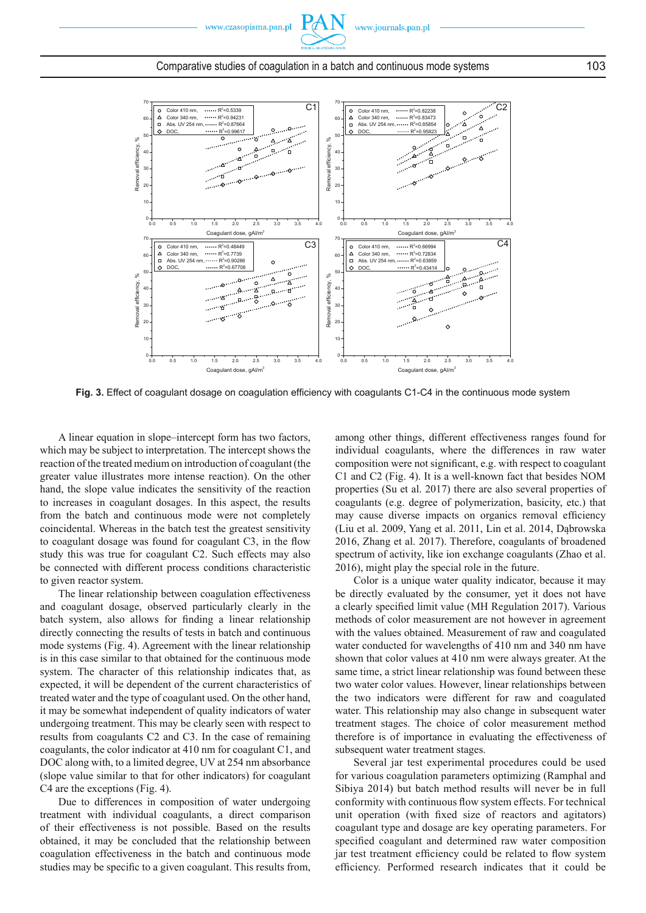



### Comparative studies of coagulation in a batch and continuous mode systems 103

Fig. 3. Effect of coagulant dosage on coagulation efficiency with coagulants C1-C4 in the continuous mode system

A linear equation in slope–intercept form has two factors, which may be subject to interpretation. The intercept shows the reaction of the treated medium on introduction of coagulant (the greater value illustrates more intense reaction). On the other hand, the slope value indicates the sensitivity of the reaction to increases in coagulant dosages. In this aspect, the results from the batch and continuous mode were not completely coincidental. Whereas in the batch test the greatest sensitivity to coagulant dosage was found for coagulant C3, in the flow study this was true for coagulant C2. Such effects may also be connected with different process conditions characteristic to given reactor system.

The linear relationship between coagulation effectiveness and coagulant dosage, observed particularly clearly in the batch system, also allows for finding a linear relationship directly connecting the results of tests in batch and continuous mode systems (Fig. 4). Agreement with the linear relationship is in this case similar to that obtained for the continuous mode system. The character of this relationship indicates that, as expected, it will be dependent of the current characteristics of treated water and the type of coagulant used. On the other hand, it may be somewhat independent of quality indicators of water undergoing treatment. This may be clearly seen with respect to results from coagulants C2 and C3. In the case of remaining coagulants, the color indicator at 410 nm for coagulant C1, and DOC along with, to a limited degree, UV at 254 nm absorbance (slope value similar to that for other indicators) for coagulant C4 are the exceptions (Fig. 4).

Due to differences in composition of water undergoing treatment with individual coagulants, a direct comparison of their effectiveness is not possible. Based on the results obtained, it may be concluded that the relationship between coagulation effectiveness in the batch and continuous mode studies may be specific to a given coagulant. This results from,

among other things, different effectiveness ranges found for individual coagulants, where the differences in raw water composition were not significant, e.g. with respect to coagulant C1 and C2 (Fig. 4). It is a well-known fact that besides NOM properties (Su et al. 2017) there are also several properties of coagulants (e.g. degree of polymerization, basicity, etc.) that may cause diverse impacts on organics removal efficiency (Liu et al. 2009, Yang et al. 2011, Lin et al. 2014, Dąbrowska 2016, Zhang et al. 2017). Therefore, coagulants of broadened spectrum of activity, like ion exchange coagulants (Zhao et al. 2016), might play the special role in the future.

Color is a unique water quality indicator, because it may be directly evaluated by the consumer, yet it does not have a clearly specified limit value (MH Regulation 2017). Various methods of color measurement are not however in agreement with the values obtained. Measurement of raw and coagulated water conducted for wavelengths of 410 nm and 340 nm have shown that color values at 410 nm were always greater. At the same time, a strict linear relationship was found between these two water color values. However, linear relationships between the two indicators were different for raw and coagulated water. This relationship may also change in subsequent water treatment stages. The choice of color measurement method therefore is of importance in evaluating the effectiveness of subsequent water treatment stages.

Several jar test experimental procedures could be used for various coagulation parameters optimizing (Ramphal and Sibiya 2014) but batch method results will never be in full conformity with continuous flow system effects. For technical unit operation (with fixed size of reactors and agitators) coagulant type and dosage are key operating parameters. For specified coagulant and determined raw water composition jar test treatment efficiency could be related to flow system efficiency. Performed research indicates that it could be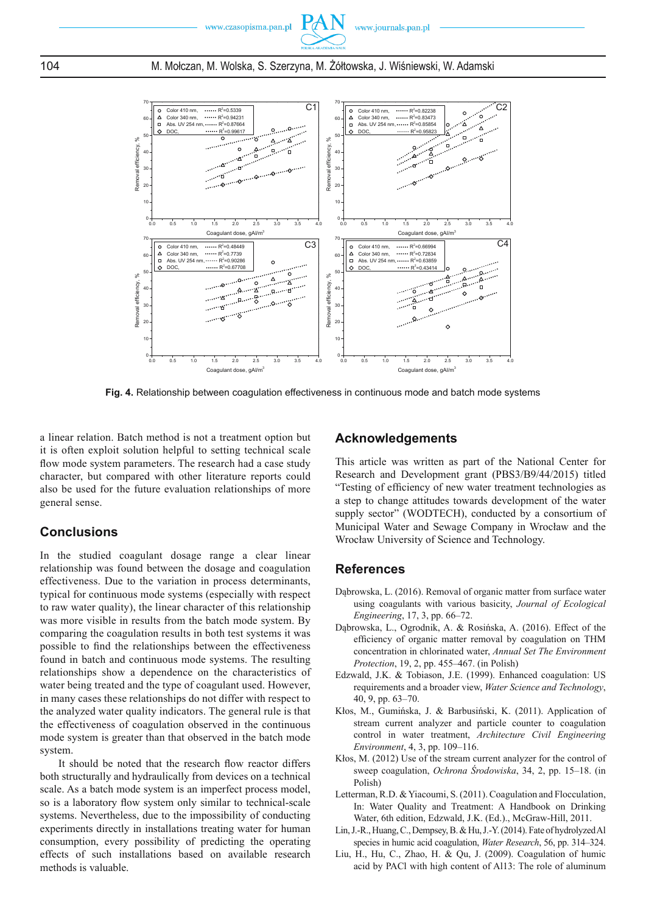



**Fig. 4.** Relationship between coagulation effectiveness in continuous mode and batch mode systems

a linear relation. Batch method is not a treatment option but it is often exploit solution helpful to setting technical scale flow mode system parameters. The research had a case study character, but compared with other literature reports could also be used for the future evaluation relationships of more general sense.

# **Conclusions**

In the studied coagulant dosage range a clear linear relationship was found between the dosage and coagulation effectiveness. Due to the variation in process determinants, typical for continuous mode systems (especially with respect to raw water quality), the linear character of this relationship was more visible in results from the batch mode system. By comparing the coagulation results in both test systems it was possible to find the relationships between the effectiveness found in batch and continuous mode systems. The resulting relationships show a dependence on the characteristics of water being treated and the type of coagulant used. However, in many cases these relationships do not differ with respect to the analyzed water quality indicators. The general rule is that the effectiveness of coagulation observed in the continuous mode system is greater than that observed in the batch mode system.

It should be noted that the research flow reactor differs both structurally and hydraulically from devices on a technical scale. As a batch mode system is an imperfect process model, so is a laboratory flow system only similar to technical-scale systems. Nevertheless, due to the impossibility of conducting experiments directly in installations treating water for human consumption, every possibility of predicting the operating effects of such installations based on available research methods is valuable.

# **Acknowledgements**

This article was written as part of the National Center for Research and Development grant (PBS3/B9/44/2015) titled "Testing of efficiency of new water treatment technologies as a step to change attitudes towards development of the water supply sector" (WODTECH), conducted by a consortium of Municipal Water and Sewage Company in Wrocław and the Wrocław University of Science and Technology.

# **References**

- Dąbrowska, L. (2016). Removal of organic matter from surface water using coagulants with various basicity, *Journal of Ecological Engineering*, 17, 3, pp. 66–72.
- Dąbrowska, L., Ogrodnik, A. & Rosińska, A. (2016). Effect of the efficiency of organic matter removal by coagulation on THM concentration in chlorinated water, *Annual Set The Environment Protection*, 19, 2, pp. 455–467. (in Polish)
- Edzwald, J.K. & Tobiason, J.E. (1999). Enhanced coagulation: US requirements and a broader view, *Water Science and Technology*, 40, 9, pp. 63–70.
- Kłos, M., Gumińska, J. & Barbusiński, K. (2011). Application of stream current analyzer and particle counter to coagulation control in water treatment, *Architecture Civil Engineering Environment*, 4, 3, pp. 109–116.
- Kłos, M. (2012) Use of the stream current analyzer for the control of sweep coagulation, *Ochrona Środowiska*, 34, 2, pp. 15–18. (in Polish)
- Letterman, R.D. & Yiacoumi, S. (2011). Coagulation and Flocculation, In: Water Quality and Treatment: A Handbook on Drinking Water, 6th edition, Edzwald, J.K. (Ed.)., McGraw-Hill, 2011.
- Lin, J.-R., Huang, C., Dempsey, B. & Hu, J.-Y. (2014). Fate of hydrolyzed Al species in humic acid coagulation, *Water Research*, 56, pp. 314–324.
- Liu, H., Hu, C., Zhao, H. & Qu, J. (2009). Coagulation of humic acid by PACl with high content of Al13: The role of aluminum